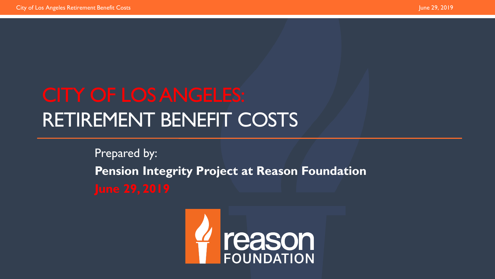# RETIREMENT BENEFIT COSTS

Prepared by: **Pension Integrity Project at Reason Foundation** 

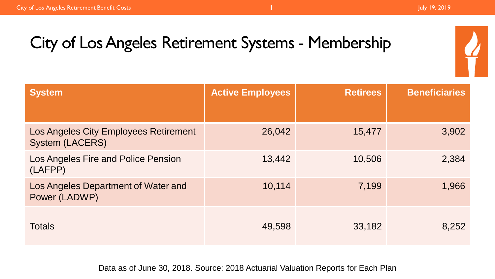| <b>System</b>                                                   | <b>Active Employees</b> | <b>Retirees</b> | <b>Beneficiaries</b> |
|-----------------------------------------------------------------|-------------------------|-----------------|----------------------|
| Los Angeles City Employees Retirement<br><b>System (LACERS)</b> | 26,042                  | 15,477          | 3,902                |
| Los Angeles Fire and Police Pension<br>(LAFPP)                  | 13,442                  | 10,506          | 2,384                |
| Los Angeles Department of Water and<br>Power (LADWP)            | 10,114                  | 7,199           | 1,966                |
| <b>Totals</b>                                                   | 49,598                  | 33,182          | 8,252                |

Data as of June 30, 2018. Source: 2018 Actuarial Valuation Reports for Each Plan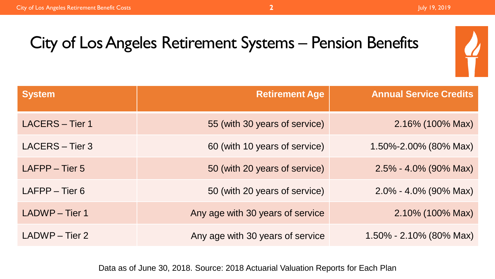## City of Los Angeles Retirement Systems – Pension Benefits

| <b>System</b>          | <b>Retirement Age</b>            | <b>Annual Service Credits</b> |
|------------------------|----------------------------------|-------------------------------|
| <b>LACERS - Tier 1</b> | 55 (with 30 years of service)    | 2.16% (100% Max)              |
| LACERS - Tier 3        | 60 (with 10 years of service)    | 1.50%-2.00% (80% Max)         |
| LAFPP - Tier 5         | 50 (with 20 years of service)    | $2.5\% - 4.0\%$ (90% Max)     |
| LAFPP - Tier 6         | 50 (with 20 years of service)    | $2.0\% - 4.0\%$ (90% Max)     |
| <b>LADWP</b> - Tier 1  | Any age with 30 years of service | 2.10% (100% Max)              |
| LADWP - Tier 2         | Any age with 30 years of service | $1.50\% - 2.10\%$ (80% Max)   |

Data as of June 30, 2018. Source: 2018 Actuarial Valuation Reports for Each Plan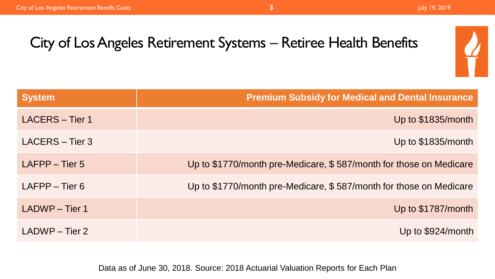

| <b>System</b>              | <b>Premium Subsidy for Medical and Dental Insurance</b>            |
|----------------------------|--------------------------------------------------------------------|
| LACERS - Tier 1            | Up to \$1835/month                                                 |
| LACERS - Tier 3            | Up to \$1835/month                                                 |
| $L_{\rm A}$ FPP $-$ Tier 5 | Up to \$1770/month pre-Medicare, \$587/month for those on Medicare |
| $L$ AFPP – Tier 6          | Up to \$1770/month pre-Medicare, \$587/month for those on Medicare |
| LADWP - Tier 1             | Up to \$1787/month                                                 |
| $LADWP - Tier 2$           | Up to \$924/month                                                  |

Data as of June 30, 2018. Source: 2018 Actuarial Valuation Reports for Each Plan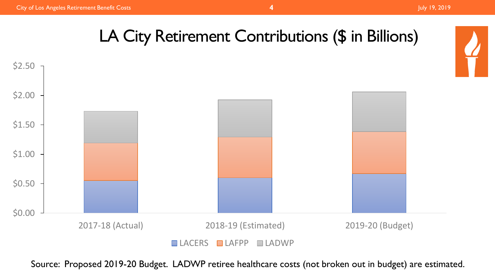# LA City Retirement Contributions (\$ in Billions)



Source: Proposed 2019-20 Budget. LADWP retiree healthcare costs (not broken out in budget) are estimated.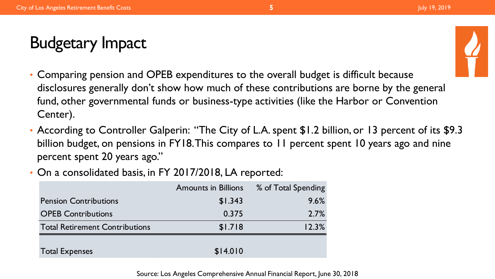# Budgetary Impact



- Comparing pension and OPEB expenditures to the overall budget is difficult because disclosures generally don't show how much of these contributions are borne by the general fund, other governmental funds or business-type activities (like the Harbor or Convention Center).
- According to Controller Galperin: "The City of L.A. spent \$1.2 billion, or 13 percent of its \$9.3 billion budget, on pensions in FY18. This compares to 11 percent spent 10 years ago and nine percent spent 20 years ago."
- On a consolidated basis, in FY 2017/2018, LA reported:

|                                       | <b>Amounts in Billions</b> | % of Total Spending |
|---------------------------------------|----------------------------|---------------------|
| <b>Pension Contributions</b>          | \$1.343                    | 9.6%                |
| <b>OPEB Contributions</b>             | 0.375                      | 2.7%                |
| <b>Total Retirement Contributions</b> | \$1.718                    | 12.3%               |
|                                       |                            |                     |
| <b>Total Expenses</b>                 | \$14.010                   |                     |

Source: Los Angeles Comprehensive Annual Financial Report, June 30, 2018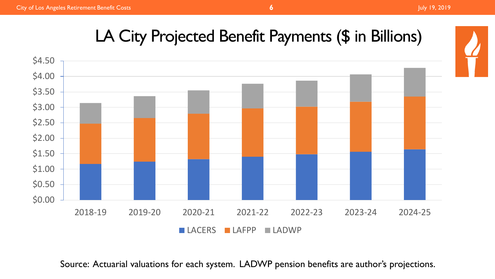## LA City Projected Benefit Payments (\$ in Billions)



Source: Actuarial valuations for each system. LADWP pension benefits are author's projections.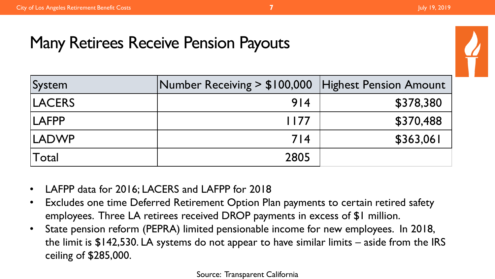#### Many Retirees Receive Pension Payouts

| System        | Number Receiving > \$100,000 | <b>Highest Pension Amount</b> |
|---------------|------------------------------|-------------------------------|
| <b>LACERS</b> | 914                          | \$378,380                     |
| <b>LAFPP</b>  | 1177                         | \$370,488                     |
| <b>LADWP</b>  | 714                          | \$363,061                     |
| 'Total        | 2805                         |                               |

- LAFPP data for 2016; LACERS and LAFPP for 2018
- Excludes one time Deferred Retirement Option Plan payments to certain retired safety employees. Three LA retirees received DROP payments in excess of \$1 million.
- State pension reform (PEPRA) limited pensionable income for new employees. In 2018, the limit is \$142,530. LA systems do not appear to have similar limits – aside from the IRS ceiling of \$285,000.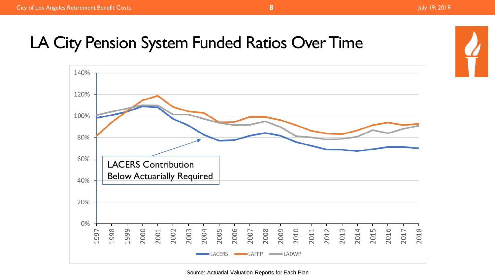#### LA City Pension System Funded Ratios Over Time



Source: Actuarial Valuation Reports for Each Plan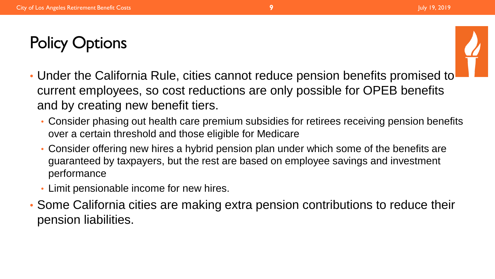

- Under the California Rule, cities cannot reduce pension benefits promised to current employees, so cost reductions are only possible for OPEB benefits and by creating new benefit tiers.
	- Consider phasing out health care premium subsidies for retirees receiving pension benefits over a certain threshold and those eligible for Medicare
	- Consider offering new hires a hybrid pension plan under which some of the benefits are guaranteed by taxpayers, but the rest are based on employee savings and investment performance
	- Limit pensionable income for new hires.
- Some California cities are making extra pension contributions to reduce their pension liabilities.